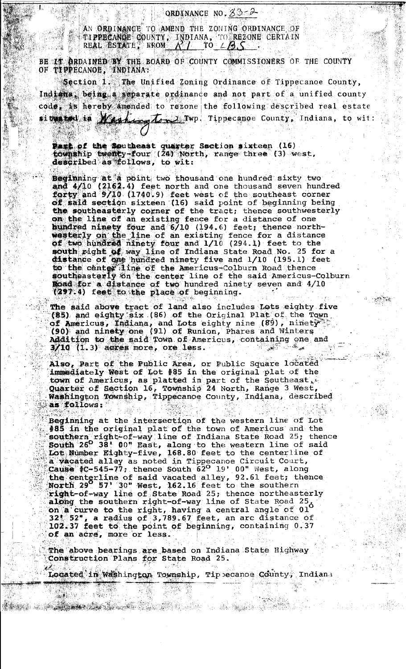ORDINANCE NO.  $83-2$ 

AN ORDINANCE TO AMEND THE ZONING ORDINANCE OF TIPPECANCE COUNTY, INDIANA, TO REZONE CERTAIN REAL ESTATE FROM  $N1$  TO  $\angle B.S$ 

BE IT ORDAINED BY THE BOARD OF COUNTY COMMISSIONERS OF THE COUNTY OF TIPPECANOE, INDIANA:

Section  $1$ . The Unified Zoning Ordinance of Tippecanoe County, Indiana, being a separate ordinance and not part of a unified county code, is hereby amended to rezone the following described real estate situated in Warking to 2 Twp. Tippecanoe County, Indiana, to wit:

Fast of the Southeast quarter Section sixteen (16) township twenty-four (24) North, range three (3) west, described as follows, to wit:

Beginning at a point two thousand one hundred sixty two and 4/10 (2162.4) feet north and one thousand seven hundred forty and 9/10 (1740.9) feet west of the southeast corner of said section sixteen (16) said point of beginning being the southeasterly corner of the tract; thence southwesterly on the line of an existing fence for a distance of one<br>hundred ninety four and 6/10 (194.6) feet; thence north-<br>westerly on the line of an existing fence for a distance of two hundred ninety four and 1/10 (294.1) feet to the south right of way line of Indiana State Road No. 25 for a distance of one hundred ninety five and 1/10 (195.1) feet to the center line of the Americus-Colburn Road thence southeasterly on the center line of the said Americus-Colburn Road for a distance of two hundred ninety seven and 4/10 (297.4) feet to the place of beginning.

The said above tract of land also includes Lots eighty five (85) and eighty six (86) of the Original Plat of the Town of Americus, Indiana, and Lots eighty nine (89), ninety (90) and ninety one (91) of Runion, Phares and Winters Addition to the said Town of Americus, containing one and  $3/10$  (1.3) acres more, ore less.

Also, Part of the Public Area, or Public Square located immediately West of Lot #85 in the original plat of the town of Americus, as platted in part of the Southeast, Quarter of Section 16, Township 24 North, Range 3 West, Washington Township, Tippecanoe County, Indiana, described as follows:

Beginning at the intersection of the western line of Lot #85 in the original plat of the town of Americus and the<br>southern right-of-way line of Indiana State Road 25; thence<br>South 26<sup>0</sup> 38! 00" East, along to the western line of said Lot Number Eighty-five, 168.80 feet to the centerline of a vacated alley as noted in Tippecanoe Circuit Court, cause #C-545-77; thence South 62° 19' 00" West, along<br>the centerline of said vacated alley, 92.61 feet; thence<br>North 29 57' 30" West, 162.16 feet to the southern right-of-way line of State Road 25; thence northeasterly along the southern right-of-way line of State Road 25.<br>on a curve to the right, having a central angle of 01 32\* 52", a radius of 3,789.67 feet, an arc distance of 102.37 feet to the point of beginning, containing 0.37 of an acre, more or less.

The above bearings are based on Indiana State Highway Construction Plans for State Road 25.

Located in Washington Township, Tip ecanoe County, Indiana